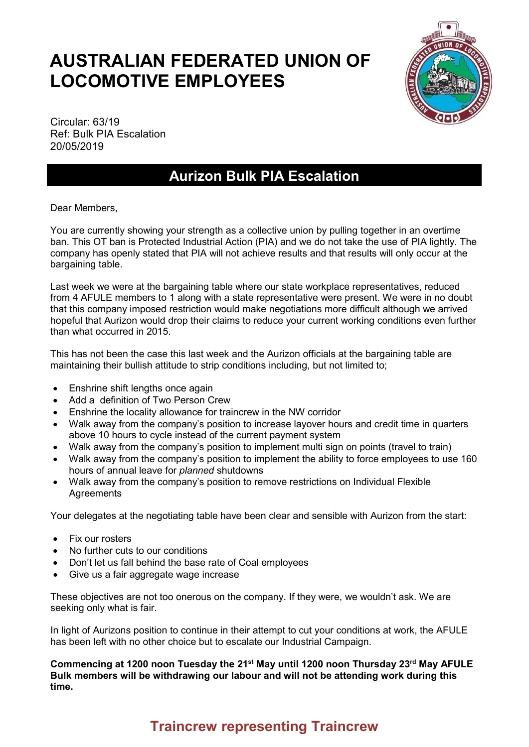## **AUSTRALIAN FEDERATED UNION OF LOCOMOTIVE EMPLOYEES**



Circular: 63/19 Ref: Bulk PIA Escalation 20/05/2019

## **Aurizon Bulk PIA Escalation**

Dear Members,

You are currently showing your strength as a collective union by pulling together in an overtime ban. This OT ban is Protected Industrial Action (PIA) and we do not take the use of PIA lightly. The company has openly stated that PIA will not achieve results and that results will only occur at the bargaining table.

Last week we were at the bargaining table where our state workplace representatives, reduced from 4 AFULE members to 1 along with a state representative were present. We were in no doubt that this company imposed restriction would make negotiations more difficult although we arrived hopeful that Aurizon would drop their claims to reduce your current working conditions even further than what occurred in 2015.

This has not been the case this last week and the Aurizon officials at the bargaining table are maintaining their bullish attitude to strip conditions including, but not limited to;

- Enshrine shift lengths once again
- Add a definition of Two Person Crew
- Enshrine the locality allowance for traincrew in the NW corridor
- Walk away from the company's position to increase layover hours and credit time in quarters above 10 hours to cycle instead of the current payment system
- Walk away from the company's position to implement multi sign on points (travel to train)
- Walk away from the company's position to implement the ability to force employees to use 160 hours of annual leave for *planned* shutdowns
- Walk away from the company's position to remove restrictions on Individual Flexible **Agreements**

Your delegates at the negotiating table have been clear and sensible with Aurizon from the start:

- Fix our rosters
- No further cuts to our conditions
- Don't let us fall behind the base rate of Coal employees
- Give us a fair aggregate wage increase

These objectives are not too onerous on the company. If they were, we wouldn't ask. We are seeking only what is fair.

In light of Aurizons position to continue in their attempt to cut your conditions at work, the AFULE has been left with no other choice but to escalate our Industrial Campaign.

**Commencing at 1200 noon Tuesday the 21st May until 1200 noon Thursday 23rd May AFULE Bulk members will be withdrawing our labour and will not be attending work during this time.**

## **Traincrew representing Traincrew**